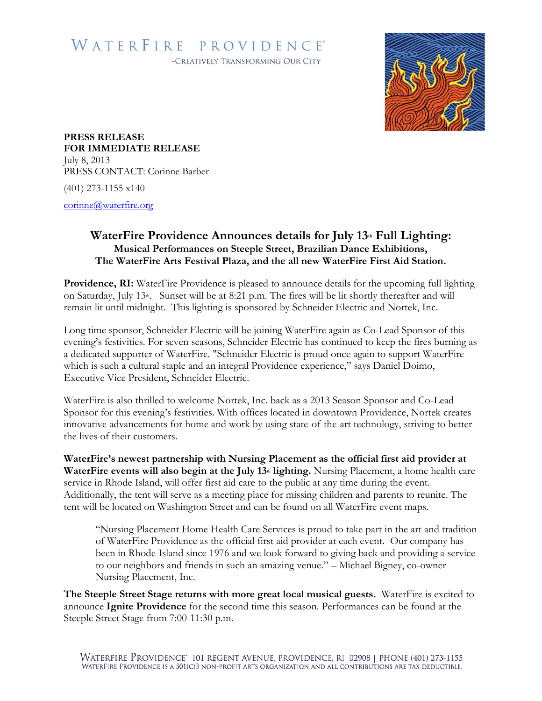## WATERFIRE PROVIDENCE®

-CREATIVELY TRANSFORMING OUR CITY



**PRESS RELEASE FOR IMMEDIATE RELEASE** July 8, 2013 PRESS CONTACT: Corinne Barber

(401) 273-1155 x140

[corinne@waterfire.org](mailto:corinne@waterfire.org)

## **WaterFire Providence Announces details for July 13th Full Lighting: Musical Performances on Steeple Street, Brazilian Dance Exhibitions, The WaterFire Arts Festival Plaza, and the all new WaterFire First Aid Station.**

**Providence, RI:** WaterFire Providence is pleased to announce details for the upcoming full lighting on Saturday, July 13<sup>th</sup>. Sunset will be at 8:21 p.m. The fires will be lit shortly thereafter and will remain lit until midnight. This lighting is sponsored by Schneider Electric and Nortek, Inc.

Long time sponsor, Schneider Electric will be joining WaterFire again as Co-Lead Sponsor of this evening's festivities. For seven seasons, Schneider Electric has continued to keep the fires burning as a dedicated supporter of WaterFire. "Schneider Electric is proud once again to support WaterFire which is such a cultural staple and an integral Providence experience," says Daniel Doimo, Executive Vice President, Schneider Electric.

WaterFire is also thrilled to welcome Nortek, Inc. back as a 2013 Season Sponsor and Co-Lead Sponsor for this evening's festivities. With offices located in downtown Providence, Nortek creates innovative advancements for home and work by using state-of-the-art technology, striving to better the lives of their customers.

**WaterFire's newest partnership with Nursing Placement as the official first aid provider at**  WaterFire events will also begin at the July 13<sup>th</sup> lighting. Nursing Placement, a home health care service in Rhode Island, will offer first aid care to the public at any time during the event. Additionally, the tent will serve as a meeting place for missing children and parents to reunite. The tent will be located on Washington Street and can be found on all WaterFire event maps.

"Nursing Placement Home Health Care Services is proud to take part in the art and tradition of WaterFire Providence as the official first aid provider at each event. Our company has been in Rhode Island since 1976 and we look forward to giving back and providing a service to our neighbors and friends in such an amazing venue." – Michael Bigney, co-owner Nursing Placement, Inc.

**The Steeple Street Stage returns with more great local musical guests.** WaterFire is excited to announce **Ignite Providence** for the second time this season. Performances can be found at the Steeple Street Stage from 7:00-11:30 p.m.